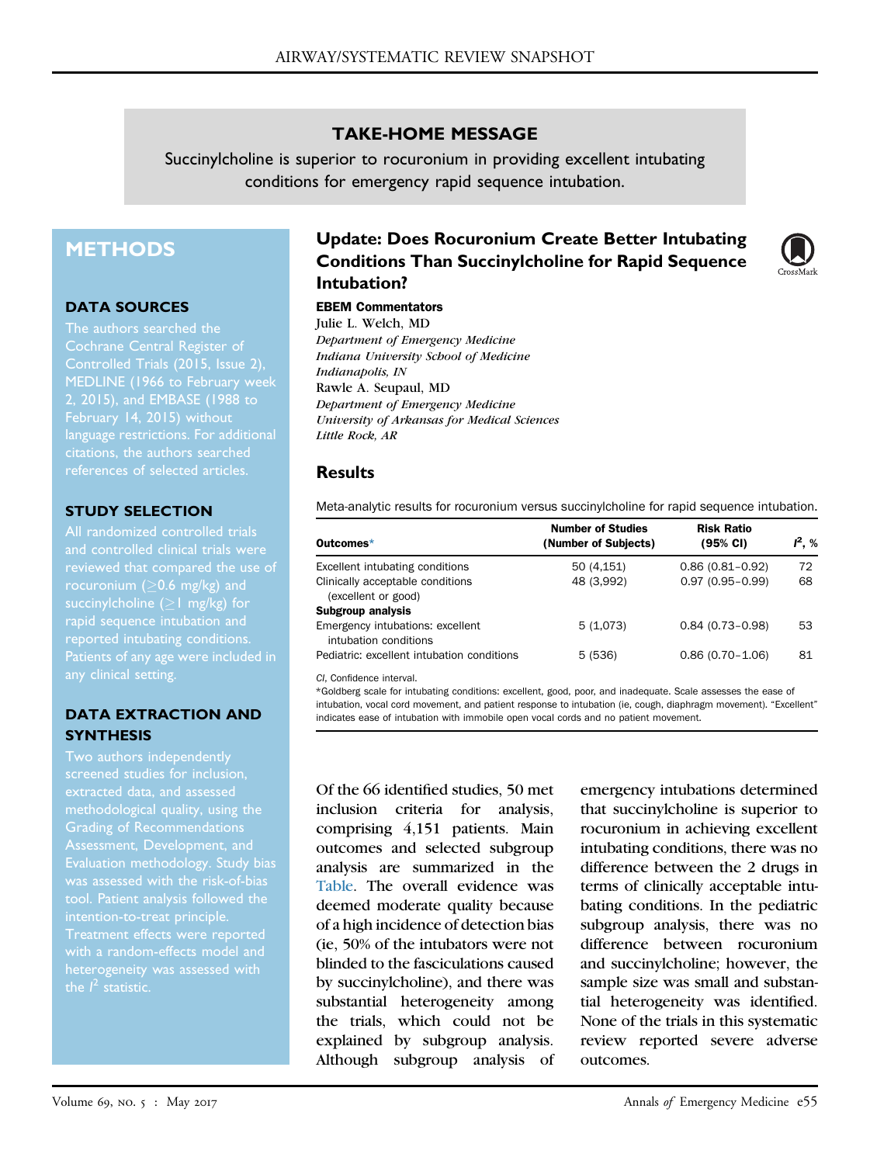## TAKE-HOME MESSAGE

Succinylcholine is superior to rocuronium in providing excellent intubating conditions for emergency rapid sequence intubation.

# **METHODS**

#### DATA SOURCES

The authors searched the Cochrane Central Register of MEDLINE (1966 to February week 2, 2015), and EMBASE (1988 to language restrictions. For additional references of selected articles.

## STUDY SELECTION

All randomized controlled trials and controlled clinical trials were rocuronium ( $>$ 0.6 mg/kg) and succinylcholine  $(21 \text{ mg/kg})$  for reported intubating conditions. Patients of any age were included in any clinical setting.

## DATA EXTRACTION AND **SYNTHESIS**

Two authors independently methodological quality, using the Grading of Recommendations Evaluation methodology. Study bias was assessed with the risk-of-bias Treatment effects were reported heterogeneity was assessed with

# Update: Does Rocuronium Create Better Intubating Conditions Than Succinylcholine for Rapid Sequence Intubation?

#### EBEM Commentators

Julie L. Welch, MD Department of Emergency Medicine Indiana University School of Medicine Indianapolis, IN Rawle A. Seupaul, MD Department of Emergency Medicine University of Arkansas for Medical Sciences Little Rock, AR

## **Results**

<span id="page-0-0"></span>Meta-analytic results for rocuronium versus succinylcholine for rapid sequence intubation.

| Outcomes*                                                 | <b>Number of Studies</b><br>(Number of Subjects) | <b>Risk Ratio</b><br>(95% CI) | $I^2. %$ |
|-----------------------------------------------------------|--------------------------------------------------|-------------------------------|----------|
| Excellent intubating conditions                           | 50 (4,151)                                       | $0.86(0.81 - 0.92)$           | 72       |
| Clinically acceptable conditions<br>(excellent or good)   | 48 (3,992)                                       | $0.97(0.95 - 0.99)$           | 68       |
| <b>Subgroup analysis</b>                                  |                                                  |                               |          |
| Emergency intubations: excellent<br>intubation conditions | 5(1,073)                                         | $0.84(0.73-0.98)$             | 53       |
| Pediatric: excellent intubation conditions                | 5(536)                                           | $0.86(0.70 - 1.06)$           | 81       |

CI, Confidence interval.

<span id="page-0-1"></span>\*Goldberg scale for intubating conditions: excellent, good, poor, and inadequate. Scale assesses the ease of intubation, vocal cord movement, and patient response to intubation (ie, cough, diaphragm movement). "Excellent" indicates ease of intubation with immobile open vocal cords and no patient movement.

Of the 66 identified studies, 50 met inclusion criteria for analysis, comprising 4,151 patients. Main outcomes and selected subgroup analysis are summarized in the [Table](#page-0-0). The overall evidence was deemed moderate quality because of a high incidence of detection bias (ie, 50% of the intubators were not blinded to the fasciculations caused by succinylcholine), and there was substantial heterogeneity among the trials, which could not be explained by subgroup analysis. Although subgroup analysis of

emergency intubations determined that succinylcholine is superior to rocuronium in achieving excellent intubating conditions, there was no difference between the 2 drugs in terms of clinically acceptable intubating conditions. In the pediatric subgroup analysis, there was no difference between rocuronium and succinylcholine; however, the sample size was small and substantial heterogeneity was identified. None of the trials in this systematic review reported severe adverse outcomes.